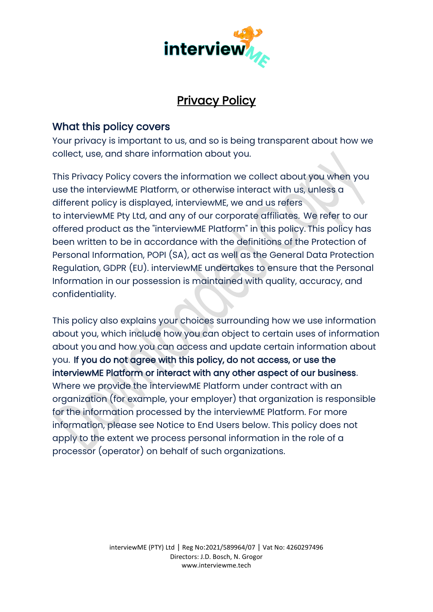

# Privacy Policy

# What this policy covers

Your privacy is important to us, and so is being transparent about how we collect, use, and share information about you.

This Privacy Policy covers the information we collect about you when you use the interviewME Platform, or otherwise interact with us, unless a different policy is displayed, interviewME, we and us refers to interviewME Pty Ltd, and any of our corporate affiliates.  We refer to our offered product as the "interviewME Platform" in this policy. This policy has been written to be in accordance with the definitions of the Protection of Personal Information, POPI (SA), act as well as the General Data Protection Regulation, GDPR (EU). interviewME undertakes to ensure that the Personal Information in our possession is maintained with quality, accuracy, and confidentiality.

This policy also explains your choices surrounding how we use information about you, which include how you can object to certain uses of information about you and how you can access and update certain information about you.  If you do not agree with this policy, do not access, or use the interviewME Platform or interact with any other aspect of our business.   Where we provide the interviewME Platform under contract with an organization (for example, your employer) that organization is responsible for the information processed by the interviewME Platform. For more information, please see Notice to End Users below. This policy does not apply to the extent we process personal information in the role of a processor (operator) on behalf of such organizations.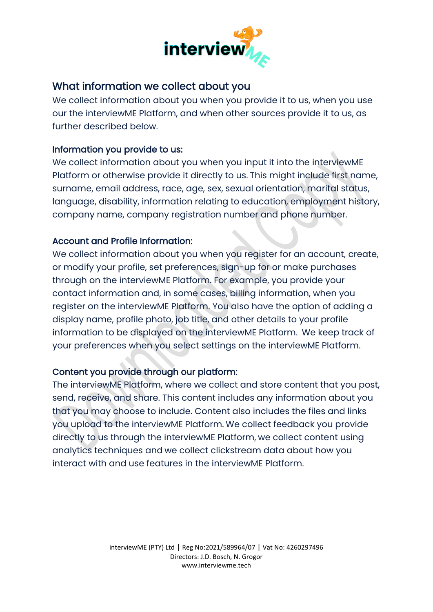

# What information we collect about you

We collect information about you when you provide it to us, when you use our the interviewME Platform, and when other sources provide it to us, as further described below.  

#### Information you provide to us:

We collect information about you when you input it into the interviewME Platform or otherwise provide it directly to us. This might include first name, surname, email address, race, age, sex, sexual orientation, marital status, language, disability, information relating to education, employment history, company name, company registration number and phone number.

#### Account and Profile Information:

We collect information about you when you register for an account, create, or modify your profile, set preferences, sign-up for or make purchases through on the interviewME Platform. For example, you provide your contact information and, in some cases, billing information, when you register on the interviewME Platform. You also have the option of adding a display name, profile photo, job title, and other details to your profile information to be displayed on the interviewME Platform. We keep track of your preferences when you select settings on the interviewME Platform.

#### Content you provide through our platform:

The interviewME Platform, where we collect and store content that you post, send, receive, and share. This content includes any information about you that you may choose to include. Content also includes the files and links you upload to the interviewME Platform. We collect feedback you provide directly to us through the interviewME Platform, we collect content using analytics techniques and we collect clickstream data about how you interact with and use features in the interviewME Platform.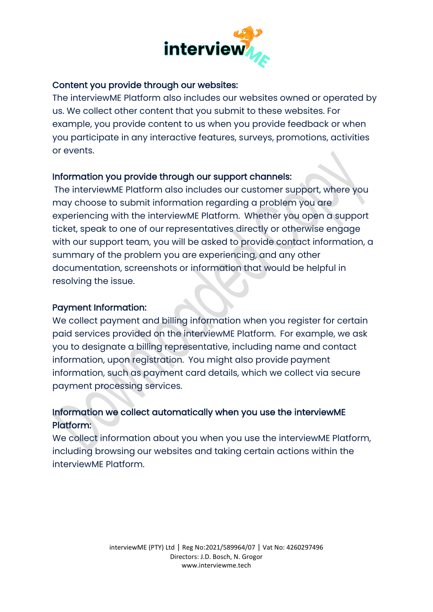

#### Content you provide through our websites:

The interviewME Platform also includes our websites owned or operated by us. We collect other content that you submit to these websites. For example, you provide content to us when you provide feedback or when you participate in any interactive features, surveys, promotions, activities or events.

#### Information you provide through our support channels:

The interviewME Platform also includes our customer support, where you may choose to submit information regarding a problem you are experiencing with the interviewME Platform. Whether you open a support ticket, speak to one of our representatives directly or otherwise engage with our support team, you will be asked to provide contact information, a summary of the problem you are experiencing, and any other documentation, screenshots or information that would be helpful in resolving the issue.

#### Payment Information:

We collect payment and billing information when you register for certain paid services provided on the interviewME Platform. For example, we ask you to designate a billing representative, including name and contact information, upon registration. You might also provide payment information, such as payment card details, which we collect via secure payment processing services.

# Information we collect automatically when you use the interviewME Platform:

We collect information about you when you use the interviewME Platform, including browsing our websites and taking certain actions within the interviewME Platform.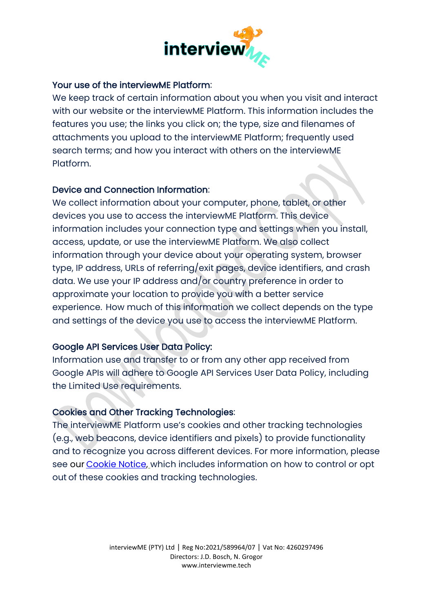

#### Your use of the interviewME Platform:

We keep track of certain information about you when you visit and interact with our website or the interviewME Platform. This information includes the features you use; the links you click on; the type, size and filenames of attachments you upload to the interviewME Platform; frequently used search terms; and how you interact with others on the interviewME Platform.

#### Device and Connection Information:

We collect information about your computer, phone, tablet, or other devices you use to access the interviewME Platform. This device information includes your connection type and settings when you install, access, update, or use the interviewME Platform. We also collect information through your device about your operating system, browser type, IP address, URLs of referring/exit pages, device identifiers, and crash data. We use your IP address and/or country preference in order to approximate your location to provide you with a better service experience.  How much of this information we collect depends on the type and settings of the device you use to access the interviewME Platform.

#### Google API Services User Data Policy:

Information use and transfer to or from any other app received from Google APIs will adhere to Google API Services User Data Policy, including the Limited Use requirements.

#### Cookies and Other Tracking Technologies:

The interviewME Platform use's cookies and other tracking technologies (e.g., web beacons, device identifiers and pixels) to provide functionality and to recognize you across different devices. For more information, please see our [Cookie Notice,](https://interviewme.tech/cookie-policy/) which includes information on how to control or opt out of these cookies and tracking technologies.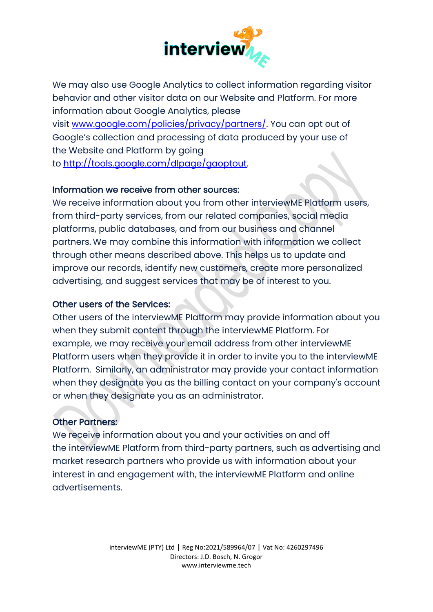

We may also use Google Analytics to collect information regarding visitor behavior and other visitor data on our Website and Platform. For more information about Google Analytics, please visit [www.google.com/policies/privacy/partners/.](http://www.google.com/policies/privacy/partners/) You can opt out of Google's collection and processing of data produced by your use of the Website and Platform by going to [http://tools.google.com/dlpage/gaoptout.](http://tools.google.com/dlpage/gaoptout)

#### Information we receive from other sources:

We receive information about you from other interviewME Platform users, from third-party services, from our related companies, social media platforms, public databases, and from our business and channel partners. We may combine this information with information we collect through other means described above. This helps us to update and improve our records, identify new customers, create more personalized advertising, and suggest services that may be of interest to you.

#### Other users of the Services:

Other users of the interviewME Platform may provide information about you when they submit content through the interviewME Platform. For example, we may receive your email address from other interviewME Platform users when they provide it in order to invite you to the interviewME Platform. Similarly, an administrator may provide your contact information when they designate you as the billing contact on your company's account or when they designate you as an administrator.

#### Other Partners:

We receive information about you and your activities on and off the interviewME Platform from third-party partners, such as advertising and market research partners who provide us with information about your interest in and engagement with, the interviewME Platform and online advertisements.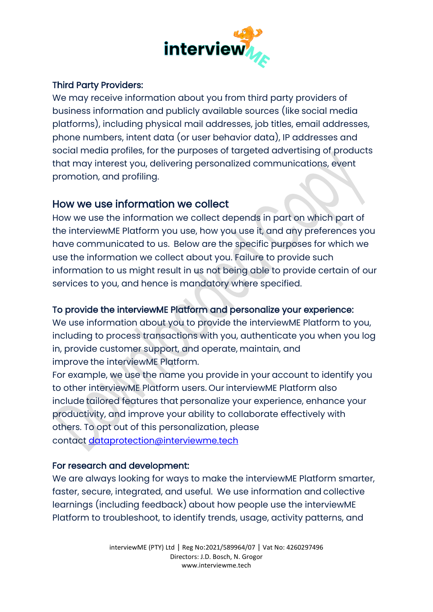

# Third Party Providers:

We may receive information about you from third party providers of business information and publicly available sources (like social media platforms), including physical mail addresses, job titles, email addresses, phone numbers, intent data (or user behavior data), IP addresses and social media profiles, for the purposes of targeted advertising of products that may interest you, delivering personalized communications, event promotion, and profiling.

# How we use information we collect

How we use the information we collect depends in part on which part of the interviewME Platform you use, how you use it, and any preferences you have communicated to us. Below are the specific purposes for which we use the information we collect about you. Failure to provide such information to us might result in us not being able to provide certain of our services to you, and hence is mandatory where specified.

#### To provide the interviewME Platform and personalize your experience:

We use information about you to provide the interviewME Platform to you, including to process transactions with you, authenticate you when you log in, provide customer support, and operate, maintain, and improve the interviewME Platform.

For example, we use the name you provide in your account to identify you to other interviewME Platform users. Our interviewME Platform also include tailored features that personalize your experience, enhance your productivity, and improve your ability to collaborate effectively with others. To opt out of this personalization, please contact [dataprotection@interviewme.tech](mailto:dataprotection@interviewme.tech)

#### For research and development:

We are always looking for ways to make the interviewME Platform smarter, faster, secure, integrated, and useful. We use information and collective learnings (including feedback) about how people use the interviewME Platform to troubleshoot, to identify trends, usage, activity patterns, and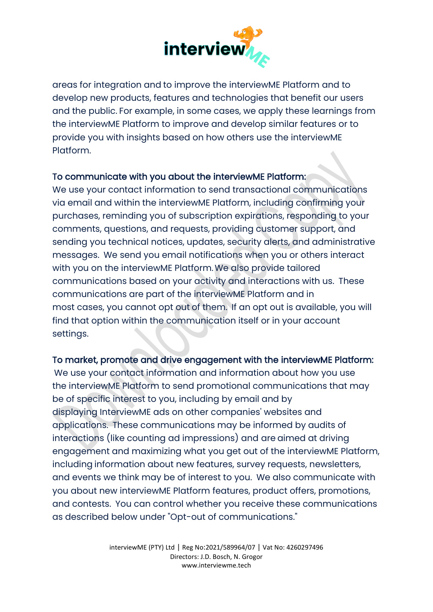

areas for integration and to improve the interviewME Platform and to develop new products, features and technologies that benefit our users and the public. For example, in some cases, we apply these learnings from the interviewME Platform to improve and develop similar features or to provide you with insights based on how others use the interviewME Platform.

#### To communicate with you about the interviewME Platform:

We use your contact information to send transactional communications via email and within the interviewME Platform, including confirming your purchases, reminding you of subscription expirations, responding to your comments, questions, and requests, providing customer support, and sending you technical notices, updates, security alerts, and administrative messages. We send you email notifications when you or others interact with you on the interviewME Platform.We also provide tailored communications based on your activity and interactions with us. These communications are part of the interviewME Platform and in most cases, you cannot opt out of them. If an opt out is available, you will find that option within the communication itself or in your account settings.   

#### To market, promote and drive engagement with the interviewME Platform:

We use your contact information and information about how you use the interviewME Platform to send promotional communications that may be of specific interest to you, including by email and by displaying InterviewME ads on other companies' websites and applications. These communications may be informed by audits of interactions (like counting ad impressions) and are aimed at driving engagement and maximizing what you get out of the interviewME Platform, including information about new features, survey requests, newsletters, and events we think may be of interest to you. We also communicate with you about new interviewME Platform features, product offers, promotions, and contests. You can control whether you receive these communications as described below under "Opt-out of communications."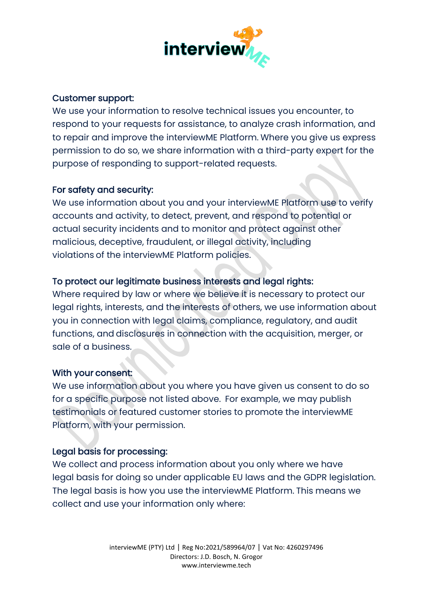

#### Customer support:

We use your information to resolve technical issues you encounter, to respond to your requests for assistance, to analyze crash information, and to repair and improve the interviewME Platform. Where you give us express permission to do so, we share information with a third-party expert for the purpose of responding to support-related requests.

#### For safety and security:

We use information about you and your interviewME Platform use to verify accounts and activity, to detect, prevent, and respond to potential or actual security incidents and to monitor and protect against other malicious, deceptive, fraudulent, or illegal activity, including violations of the interviewME Platform policies.

#### To protect our legitimate business interests and legal rights:

Where required by law or where we believe it is necessary to protect our legal rights, interests, and the interests of others, we use information about you in connection with legal claims, compliance, regulatory, and audit functions, and disclosures in connection with the acquisition, merger, or sale of a business.  

#### With your consent:

We use information about you where you have given us consent to do so for a specific purpose not listed above. For example, we may publish testimonials or featured customer stories to promote the interviewME Platform, with your permission.

#### Legal basis for processing:

We collect and process information about you only where we have legal basis for doing so under applicable EU laws and the GDPR legislation. The legal basis is how you use the interviewME Platform. This means we collect and use your information only where: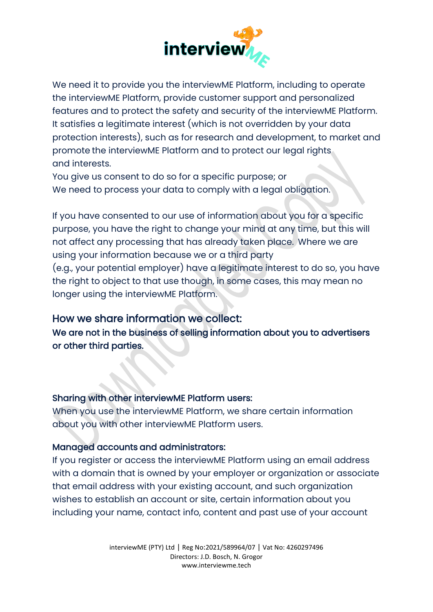

We need it to provide you the interviewME Platform, including to operate the interviewME Platform, provide customer support and personalized features and to protect the safety and security of the interviewME Platform. It satisfies a legitimate interest (which is not overridden by your data protection interests), such as for research and development, to market and promote the interviewME Platform and to protect our legal rights and interests.

You give us consent to do so for a specific purpose; or We need to process your data to comply with a legal obligation.

If you have consented to our use of information about you for a specific purpose, you have the right to change your mind at any time, but this will not affect any processing that has already taken place. Where we are using your information because we or a third party (e.g., your potential employer) have a legitimate interest to do so, you have the right to object to that use though, in some cases, this may mean no longer using the interviewME Platform.

# How we share information we collect:

We are not in the business of selling information about you to advertisers or other third parties.

#### Sharing with other interviewME Platform users:

When you use the interviewME Platform, we share certain information about you with other interviewME Platform users.

# Managed accounts and administrators:

If you register or access the interviewME Platform using an email address with a domain that is owned by your employer or organization or associate that email address with your existing account, and such organization wishes to establish an account or site, certain information about you including your name, contact info, content and past use of your account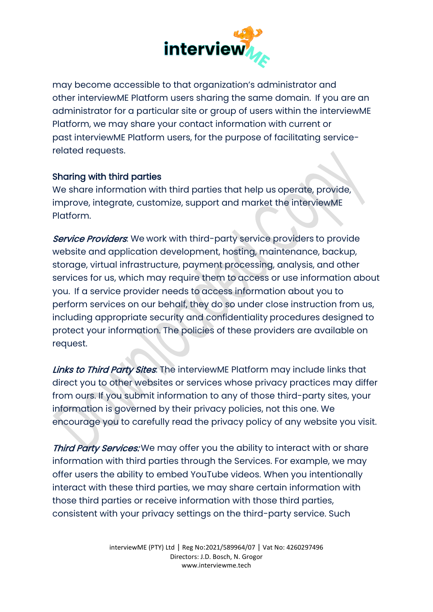

may become accessible to that organization's administrator and other interviewME Platform users sharing the same domain. If you are an administrator for a particular site or group of users within the interviewME Platform, we may share your contact information with current or past interviewME Platform users, for the purpose of facilitating servicerelated requests.  

#### Sharing with third parties

We share information with third parties that help us operate, provide, improve, integrate, customize, support and market the interviewME Platform.

Service Providers: We work with third-party service providers to provide website and application development, hosting, maintenance, backup, storage, virtual infrastructure, payment processing, analysis, and other services for us, which may require them to access or use information about you. If a service provider needs to access information about you to perform services on our behalf, they do so under close instruction from us, including appropriate security and confidentiality procedures designed to protect your information. The policies of these providers are available on request.

Links to Third Party Sites. The interviewME Platform may include links that direct you to other websites or services whose privacy practices may differ from ours. If you submit information to any of those third-party sites, your information is governed by their privacy policies, not this one. We encourage you to carefully read the privacy policy of any website you visit.

Third Party Services: We may offer you the ability to interact with or share information with third parties through the Services. For example, we may offer users the ability to embed YouTube videos. When you intentionally interact with these third parties, we may share certain information with those third parties or receive information with those third parties, consistent with your privacy settings on the third-party service. Such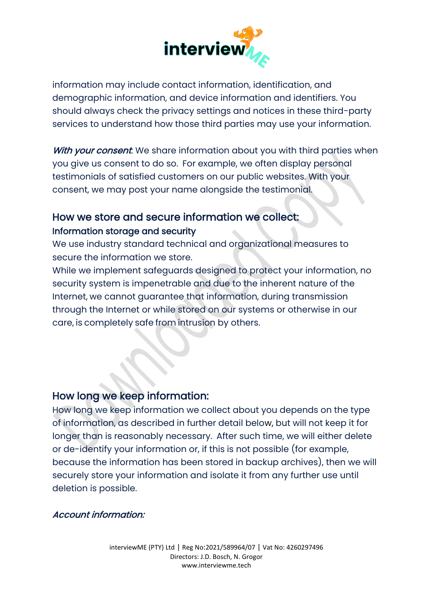

information may include contact information, identification, and demographic information, and device information and identifiers. You should always check the privacy settings and notices in these third-party services to understand how those third parties may use your information.

With your consent. We share information about you with third parties when you give us consent to do so. For example, we often display personal testimonials of satisfied customers on our public websites. With your consent, we may post your name alongside the testimonial.

# How we store and secure information we collect: Information storage and security

We use industry standard technical and organizational measures to secure the information we store.

While we implement safeguards designed to protect your information, no security system is impenetrable and due to the inherent nature of the Internet, we cannot guarantee that information, during transmission through the Internet or while stored on our systems or otherwise in our care, is completely safe from intrusion by others.

# How long we keep information:

How long we keep information we collect about you depends on the type of information, as described in further detail below, but will not keep it for longer than is reasonably necessary. After such time, we will either delete or de-identify your information or, if this is not possible (for example, because the information has been stored in backup archives), then we will securely store your information and isolate it from any further use until deletion is possible.

# Account information: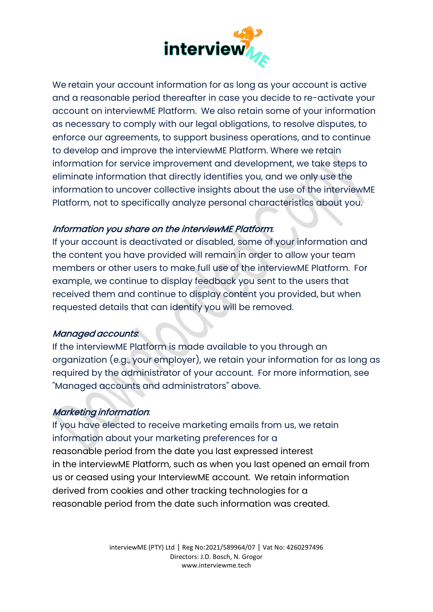

We retain your account information for as long as your account is active and a reasonable period thereafter in case you decide to re-activate your account on interviewME Platform. We also retain some of your information as necessary to comply with our legal obligations, to resolve disputes, to enforce our agreements, to support business operations, and to continue to develop and improve the interviewME Platform. Where we retain information for service improvement and development, we take steps to eliminate information that directly identifies you, and we only use the information to uncover collective insights about the use of the interviewME Platform, not to specifically analyze personal characteristics about you.  

#### Information you share on the interviewME Platform:

If your account is deactivated or disabled, some of your information and the content you have provided will remain in order to allow your team members or other users to make full use of the interviewME Platform. For example, we continue to display feedback you sent to the users that received them and continue to display content you provided, but when requested details that can identify you will be removed.

#### Managed accounts:

If the interviewME Platform is made available to you through an organization (e.g., your employer), we retain your information for as long as required by the administrator of your account. For more information, see "Managed accounts and administrators" above.

#### Marketing information:

If you have elected to receive marketing emails from us, we retain information about your marketing preferences for a reasonable period from the date you last expressed interest in the interviewME Platform, such as when you last opened an email from us or ceased using your InterviewME account. We retain information derived from cookies and other tracking technologies for a reasonable period from the date such information was created.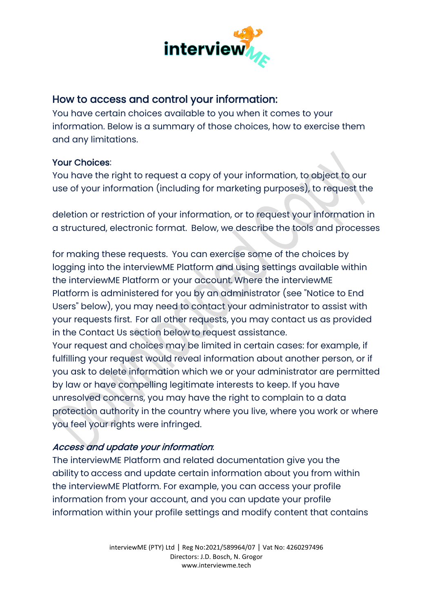

# How to access and control your information:

You have certain choices available to you when it comes to your information. Below is a summary of those choices, how to exercise them and any limitations.

#### Your Choices:

You have the right to request a copy of your information, to object to our use of your information (including for marketing purposes), to request the

deletion or restriction of your information, or to request your information in a structured, electronic format. Below, we describe the tools and processes

for making these requests. You can exercise some of the choices by logging into the interviewME Platform and using settings available within the interviewME Platform or your account. Where the interviewME Platform is administered for you by an administrator (see "Notice to End Users" below), you may need to contact your administrator to assist with your requests first.  For all other requests, you may contact us as provided in the Contact Us section below to request assistance.

Your request and choices may be limited in certain cases: for example, if fulfilling your request would reveal information about another person, or if you ask to delete information which we or your administrator are permitted by law or have compelling legitimate interests to keep. If you have unresolved concerns, you may have the right to complain to a data protection authority in the country where you live, where you work or where you feel your rights were infringed.

# Access and update your information:

The interviewME Platform and related documentation give you the ability to access and update certain information about you from within the interviewME Platform. For example, you can access your profile information from your account, and you can update your profile information within your profile settings and modify content that contains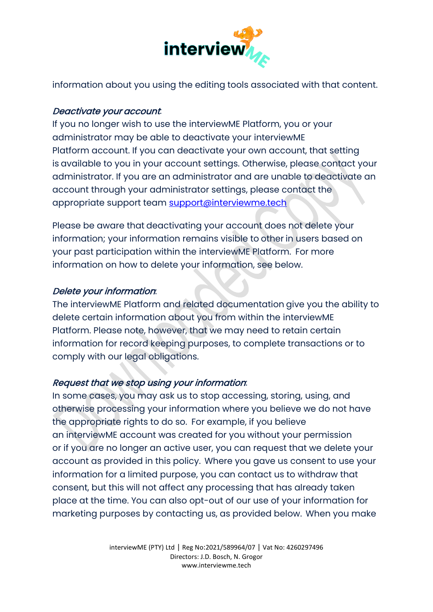

information about you using the editing tools associated with that content.

#### Deactivate your account:

If you no longer wish to use the interviewME Platform, you or your administrator may be able to deactivate your interviewME Platform account. If you can deactivate your own account, that setting is available to you in your account settings. Otherwise, please contact your administrator. If you are an administrator and are unable to deactivate an account through your administrator settings, please contact the appropriate support team [support@interviewme.tech](mailto:support@interviewme.tech)

Please be aware that deactivating your account does not delete your information; your information remains visible to other in users based on your past participation within the interviewME Platform. For more information on how to delete your information, see below.

#### Delete your information:

The interviewME Platform and related documentation give you the ability to delete certain information about you from within the interviewME Platform. Please note, however, that we may need to retain certain information for record keeping purposes, to complete transactions or to comply with our legal obligations.

# Request that we stop using your information:

In some cases, you may ask us to stop accessing, storing, using, and otherwise processing your information where you believe we do not have the appropriate rights to do so. For example, if you believe an interviewME account was created for you without your permission or if you are no longer an active user, you can request that we delete your account as provided in this policy.  Where you gave us consent to use your information for a limited purpose, you can contact us to withdraw that consent, but this will not affect any processing that has already taken place at the time. You can also opt-out of our use of your information for marketing purposes by contacting us, as provided below.  When you make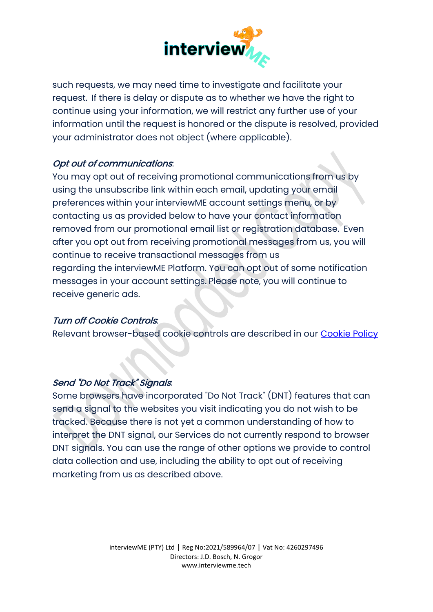

such requests, we may need time to investigate and facilitate your request. If there is delay or dispute as to whether we have the right to continue using your information, we will restrict any further use of your information until the request is honored or the dispute is resolved, provided your administrator does not object (where applicable).

#### Opt out of communications:

You may opt out of receiving promotional communications from us by using the unsubscribe link within each email, updating your email preferences within your interviewME account settings menu, or by contacting us as provided below to have your contact information removed from our promotional email list or registration database. Even after you opt out from receiving promotional messages from us, you will continue to receive transactional messages from us regarding the interviewME Platform. You can opt out of some notification messages in your account settings. Please note, you will continue to receive generic ads.

#### Turn off Cookie Controls:

Relevant browser-based cookie controls are described in our [Cookie Policy](https://interviewme.tech/cookie-policy/)

#### Send "Do Not Track" Signals:

Some browsers have incorporated "Do Not Track" (DNT) features that can send a signal to the websites you visit indicating you do not wish to be tracked. Because there is not yet a common understanding of how to interpret the DNT signal, our Services do not currently respond to browser DNT signals. You can use the range of other options we provide to control data collection and use, including the ability to opt out of receiving marketing from us as described above.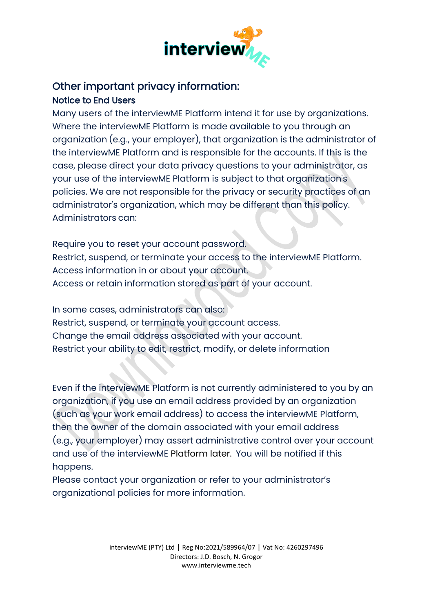

# Other important privacy information:

Notice to End Users

Many users of the interviewME Platform intend it for use by organizations. Where the interviewME Platform is made available to you through an organization (e.g., your employer), that organization is the administrator of the interviewME Platform and is responsible for the accounts. If this is the case, please direct your data privacy questions to your administrator, as your use of the interviewME Platform is subject to that organization's policies. We are not responsible for the privacy or security practices of an administrator's organization, which may be different than this policy. Administrators can:

Require you to reset your account password. Restrict, suspend, or terminate your access to the interviewME Platform. Access information in or about your account. Access or retain information stored as part of your account.

In some cases, administrators can also: Restrict, suspend, or terminate your account access. Change the email address associated with your account. Restrict your ability to edit, restrict, modify, or delete information

Even if the interviewME Platform is not currently administered to you by an organization, if you use an email address provided by an organization (such as your work email address) to access the interviewME Platform, then the owner of the domain associated with your email address (e.g., your employer) may assert administrative control over your account and use of the interviewME Platform later. You will be notified if this happens.

Please contact your organization or refer to your administrator's organizational policies for more information.